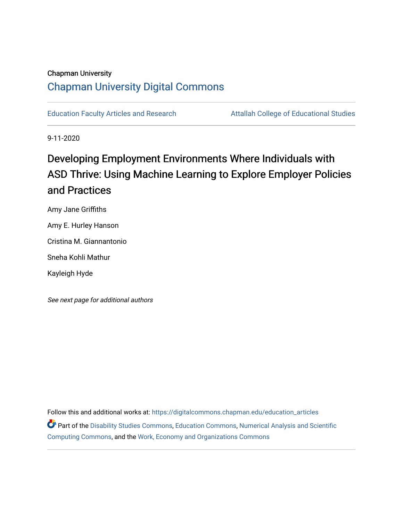## Chapman University [Chapman University Digital Commons](https://digitalcommons.chapman.edu/)

[Education Faculty Articles and Research](https://digitalcommons.chapman.edu/education_articles) **Attallah College of Educational Studies** 

9-11-2020

# Developing Employment Environments Where Individuals with ASD Thrive: Using Machine Learning to Explore Employer Policies and Practices

Amy Jane Griffiths

Amy E. Hurley Hanson

Cristina M. Giannantonio

Sneha Kohli Mathur

Kayleigh Hyde

See next page for additional authors

Follow this and additional works at: [https://digitalcommons.chapman.edu/education\\_articles](https://digitalcommons.chapman.edu/education_articles?utm_source=digitalcommons.chapman.edu%2Feducation_articles%2F268&utm_medium=PDF&utm_campaign=PDFCoverPages) Part of the [Disability Studies Commons](http://network.bepress.com/hgg/discipline/1417?utm_source=digitalcommons.chapman.edu%2Feducation_articles%2F268&utm_medium=PDF&utm_campaign=PDFCoverPages), [Education Commons](http://network.bepress.com/hgg/discipline/784?utm_source=digitalcommons.chapman.edu%2Feducation_articles%2F268&utm_medium=PDF&utm_campaign=PDFCoverPages), [Numerical Analysis and Scientific](http://network.bepress.com/hgg/discipline/147?utm_source=digitalcommons.chapman.edu%2Feducation_articles%2F268&utm_medium=PDF&utm_campaign=PDFCoverPages)  [Computing Commons,](http://network.bepress.com/hgg/discipline/147?utm_source=digitalcommons.chapman.edu%2Feducation_articles%2F268&utm_medium=PDF&utm_campaign=PDFCoverPages) and the [Work, Economy and Organizations Commons](http://network.bepress.com/hgg/discipline/433?utm_source=digitalcommons.chapman.edu%2Feducation_articles%2F268&utm_medium=PDF&utm_campaign=PDFCoverPages)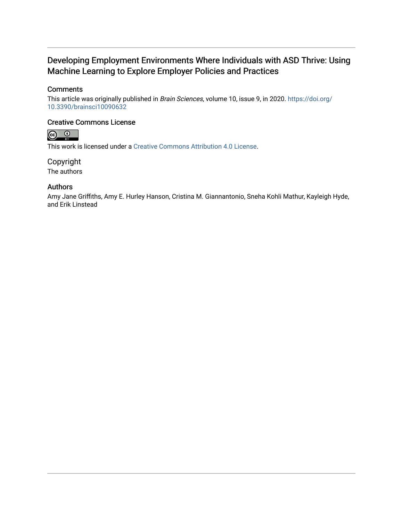## Developing Employment Environments Where Individuals with ASD Thrive: Using Machine Learning to Explore Employer Policies and Practices

## **Comments**

This article was originally published in Brain Sciences, volume 10, issue 9, in 2020. [https://doi.org/](https://doi.org/10.3390/brainsci10090632) [10.3390/brainsci10090632](https://doi.org/10.3390/brainsci10090632)

## Creative Commons License



This work is licensed under a [Creative Commons Attribution 4.0 License](https://creativecommons.org/licenses/by/4.0/).

Copyright The authors

## Authors

Amy Jane Griffiths, Amy E. Hurley Hanson, Cristina M. Giannantonio, Sneha Kohli Mathur, Kayleigh Hyde, and Erik Linstead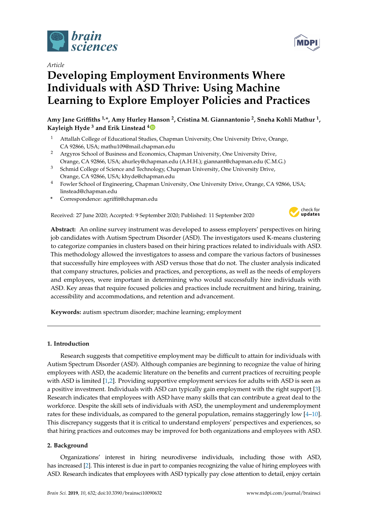

## *Article*

# **Developing Employment Environments Where Individuals with ASD Thrive: Using Machine Learning to Explore Employer Policies and Practices**

**Amy Jane Griffiths 1,\*, Amy Hurley Hanson <sup>2</sup> , Cristina M. Giannantonio <sup>2</sup> , Sneha Kohli Mathur <sup>1</sup> , Kayleigh Hyde <sup>3</sup> and Erik Linstead [4](https://orcid.org/0000-0003-0174-7002)**

- <sup>1</sup> Attallah College of Educational Studies, Chapman University, One University Drive, Orange, CA 92866, USA; mathu109@mail.chapman.edu
- <sup>2</sup> Argyros School of Business and Economics, Chapman University, One University Drive, Orange, CA 92866, USA; ahurley@chapman.edu (A.H.H.); giannant@chapman.edu (C.M.G.)
- <sup>3</sup> Schmid College of Science and Technology, Chapman University, One University Drive, Orange, CA 92866, USA; khyde@chapman.edu
- <sup>4</sup> Fowler School of Engineering, Chapman University, One University Drive, Orange, CA 92866, USA; linstead@chapman.edu
- **\*** Correspondence: agriffit@chapman.edu

Received: 27 June 2020; Accepted: 9 September 2020; Published: 11 September 2020



**Abstract:** An online survey instrument was developed to assess employers' perspectives on hiring job candidates with Autism Spectrum Disorder (ASD). The investigators used K-means clustering to categorize companies in clusters based on their hiring practices related to individuals with ASD. This methodology allowed the investigators to assess and compare the various factors of businesses that successfully hire employees with ASD versus those that do not. The cluster analysis indicated that company structures, policies and practices, and perceptions, as well as the needs of employers and employees, were important in determining who would successfully hire individuals with ASD. Key areas that require focused policies and practices include recruitment and hiring, training, accessibility and accommodations, and retention and advancement.

**Keywords:** autism spectrum disorder; machine learning; employment

### **1. Introduction**

Research suggests that competitive employment may be difficult to attain for individuals with Autism Spectrum Disorder (ASD). Although companies are beginning to recognize the value of hiring employees with ASD, the academic literature on the benefits and current practices of recruiting people with ASD is limited [\[1](#page-20-0)[,2\]](#page-20-1). Providing supportive employment services for adults with ASD is seen as a positive investment. Individuals with ASD can typically gain employment with the right support [\[3\]](#page-20-2). Research indicates that employees with ASD have many skills that can contribute a great deal to the workforce. Despite the skill sets of individuals with ASD, the unemployment and underemployment rates for these individuals, as compared to the general population, remains staggeringly low [\[4–](#page-20-3)[10\]](#page-21-0). This discrepancy suggests that it is critical to understand employers' perspectives and experiences, so that hiring practices and outcomes may be improved for both organizations and employees with ASD.

### **2. Background**

Organizations' interest in hiring neurodiverse individuals, including those with ASD, has increased [\[2\]](#page-20-1). This interest is due in part to companies recognizing the value of hiring employees with ASD. Research indicates that employees with ASD typically pay close attention to detail, enjoy certain

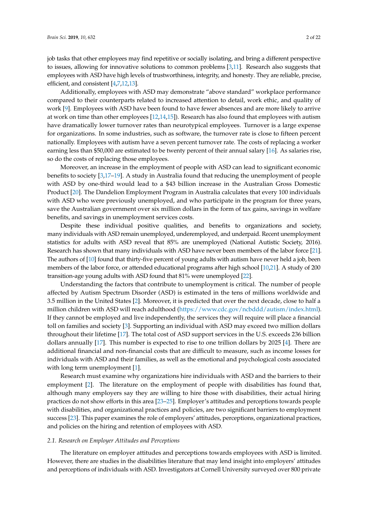job tasks that other employees may find repetitive or socially isolating, and bring a different perspective to issues, allowing for innovative solutions to common problems [\[3](#page-20-2)[,11\]](#page-21-1). Research also suggests that employees with ASD have high levels of trustworthiness, integrity, and honesty. They are reliable, precise, efficient, and consistent [\[4](#page-20-3)[,7,](#page-20-4)[12,](#page-21-2)[13\]](#page-21-3).

Additionally, employees with ASD may demonstrate "above standard" workplace performance compared to their counterparts related to increased attention to detail, work ethic, and quality of work [\[9\]](#page-21-4). Employees with ASD have been found to have fewer absences and are more likely to arrive at work on time than other employees [\[12](#page-21-2)[,14](#page-21-5)[,15\]](#page-21-6)). Research has also found that employees with autism have dramatically lower turnover rates than neurotypical employees. Turnover is a large expense for organizations. In some industries, such as software, the turnover rate is close to fifteen percent nationally. Employees with autism have a seven percent turnover rate. The costs of replacing a worker earning less than \$50,000 are estimated to be twenty percent of their annual salary [\[16\]](#page-21-7). As salaries rise, so do the costs of replacing those employees.

Moreover, an increase in the employment of people with ASD can lead to significant economic benefits to society [\[3,](#page-20-2)[17–](#page-21-8)[19\]](#page-21-9). A study in Australia found that reducing the unemployment of people with ASD by one-third would lead to a \$43 billion increase in the Australian Gross Domestic Product [\[20\]](#page-21-10). The Dandelion Employment Program in Australia calculates that every 100 individuals with ASD who were previously unemployed, and who participate in the program for three years, save the Australian government over six million dollars in the form of tax gains, savings in welfare benefits, and savings in unemployment services costs.

Despite these individual positive qualities, and benefits to organizations and society, many individuals with ASD remain unemployed, underemployed, and underpaid. Recent unemployment statistics for adults with ASD reveal that 85% are unemployed (National Autistic Society, 2016). Research has shown that many individuals with ASD have never been members of the labor force [\[21\]](#page-21-11). The authors of [\[10\]](#page-21-0) found that thirty-five percent of young adults with autism have never held a job, been members of the labor force, or attended educational programs after high school [\[10](#page-21-0)[,21\]](#page-21-11). A study of 200 transition-age young adults with ASD found that 81% were unemployed [\[22\]](#page-21-12).

Understanding the factors that contribute to unemployment is critical. The number of people affected by Autism Spectrum Disorder (ASD) is estimated in the tens of millions worldwide and 3.5 million in the United States [\[2\]](#page-20-1). Moreover, it is predicted that over the next decade, close to half a million children with ASD will reach adulthood [\(https://www.cdc.gov/ncbddd/autism/index.html\)](https://www.cdc.gov/ncbddd/autism/index.html). If they cannot be employed and live independently, the services they will require will place a financial toll on families and society [\[3\]](#page-20-2). Supporting an individual with ASD may exceed two million dollars throughout their lifetime [\[17\]](#page-21-8). The total cost of ASD support services in the U.S. exceeds 236 billion dollars annually [\[17\]](#page-21-8). This number is expected to rise to one trillion dollars by 2025 [\[4\]](#page-20-3). There are additional financial and non-financial costs that are difficult to measure, such as income losses for individuals with ASD and their families, as well as the emotional and psychological costs associated with long term unemployment [\[1\]](#page-20-0).

Research must examine why organizations hire individuals with ASD and the barriers to their employment [\[2\]](#page-20-1). The literature on the employment of people with disabilities has found that, although many employers say they are willing to hire those with disabilities, their actual hiring practices do not show efforts in this area [\[23](#page-21-13)[–25\]](#page-21-14). Employer's attitudes and perceptions towards people with disabilities, and organizational practices and policies, are two significant barriers to employment success [\[23\]](#page-21-13). This paper examines the role of employers' attitudes, perceptions, organizational practices, and policies on the hiring and retention of employees with ASD.

#### *2.1. Research on Employer Attitudes and Perceptions*

The literature on employer attitudes and perceptions towards employees with ASD is limited. However, there are studies in the disabilities literature that may lend insight into employers' attitudes and perceptions of individuals with ASD. Investigators at Cornell University surveyed over 800 private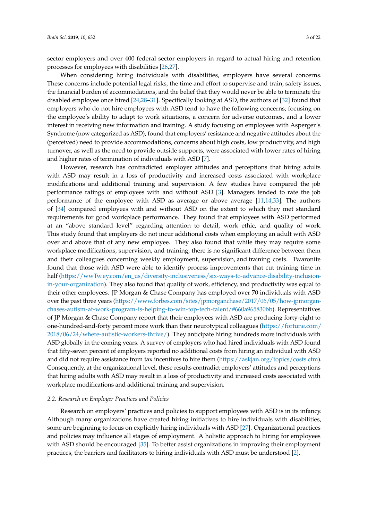sector employers and over 400 federal sector employers in regard to actual hiring and retention processes for employees with disabilities [\[26](#page-21-15)[,27\]](#page-21-16).

When considering hiring individuals with disabilities, employers have several concerns. These concerns include potential legal risks, the time and effort to supervise and train, safety issues, the financial burden of accommodations, and the belief that they would never be able to terminate the disabled employee once hired [\[24](#page-21-17)[,28–](#page-21-18)[31\]](#page-21-19). Specifically looking at ASD, the authors of [\[32\]](#page-21-20) found that employers who do not hire employees with ASD tend to have the following concerns; focusing on the employee's ability to adapt to work situations, a concern for adverse outcomes, and a lower interest in receiving new information and training. A study focusing on employees with Asperger's Syndrome (now categorized as ASD), found that employers' resistance and negative attitudes about the (perceived) need to provide accommodations, concerns about high costs, low productivity, and high turnover, as well as the need to provide outside supports, were associated with lower rates of hiring and higher rates of termination of individuals with ASD [\[7\]](#page-20-4).

However, research has contradicted employer attitudes and perceptions that hiring adults with ASD may result in a loss of productivity and increased costs associated with workplace modifications and additional training and supervision. A few studies have compared the job performance ratings of employees with and without ASD [\[3\]](#page-20-2). Managers tended to rate the job performance of the employee with ASD as average or above average  $[11,14,33]$  $[11,14,33]$  $[11,14,33]$ . The authors of [\[34\]](#page-22-1) compared employees with and without ASD on the extent to which they met standard requirements for good workplace performance. They found that employees with ASD performed at an "above standard level" regarding attention to detail, work ethic, and quality of work. This study found that employers do not incur additional costs when employing an adult with ASD over and above that of any new employee. They also found that while they may require some workplace modifications, supervision, and training, there is no significant difference between them and their colleagues concerning weekly employment, supervision, and training costs. Twaronite found that those with ASD were able to identify process improvements that cut training time in half [\(https://wwTw.ey.com/en\\_us/diversity-inclusiveness/six-ways-to-advance-disability-inclusion](https://wwTw.ey.com/en_us/diversity-inclusiveness/six-ways-to-advance-disability-inclusion-in-your-organization)[in-your-organization\)](https://wwTw.ey.com/en_us/diversity-inclusiveness/six-ways-to-advance-disability-inclusion-in-your-organization). They also found that quality of work, efficiency, and productivity was equal to their other employees. JP Morgan & Chase Company has employed over 70 individuals with ASD over the past three years [\(https://www.forbes.com/sites/jpmorganchase/2017/06/05/how-jpmorgan](https://www.forbes.com/sites/jpmorganchase/2017/06/05/how-jpmorgan-chases-autism-at-work-program-is-helping-to-win-top-tech-talent/#660a965830bb)[chases-autism-at-work-program-is-helping-to-win-top-tech-talent/#660a965830bb\)](https://www.forbes.com/sites/jpmorganchase/2017/06/05/how-jpmorgan-chases-autism-at-work-program-is-helping-to-win-top-tech-talent/#660a965830bb). Representatives of JP Morgan & Chase Company report that their employees with ASD are producing forty-eight to one-hundred-and-forty percent more work than their neurotypical colleagues [\(https://fortune.com/](https://fortune.com/2018/06/24/where-autistic-workers-thrive/) [2018/06/24/where-autistic-workers-thrive/\)](https://fortune.com/2018/06/24/where-autistic-workers-thrive/). They anticipate hiring hundreds more individuals with ASD globally in the coming years. A survey of employers who had hired individuals with ASD found that fifty-seven percent of employers reported no additional costs from hiring an individual with ASD and did not require assistance from tax incentives to hire them [\(https://askjan.org/topics/costs.cfm\)]( https://askjan.org/topics/costs.cfm). Consequently, at the organizational level, these results contradict employers' attitudes and perceptions that hiring adults with ASD may result in a loss of productivity and increased costs associated with workplace modifications and additional training and supervision.

#### *2.2. Research on Employer Practices and Policies*

Research on employers' practices and policies to support employees with ASD is in its infancy. Although many organizations have created hiring initiatives to hire individuals with disabilities, some are beginning to focus on explicitly hiring individuals with ASD [\[27\]](#page-21-16). Organizational practices and policies may influence all stages of employment. A holistic approach to hiring for employees with ASD should be encouraged [\[35\]](#page-22-2). To better assist organizations in improving their employment practices, the barriers and facilitators to hiring individuals with ASD must be understood [\[2\]](#page-20-1).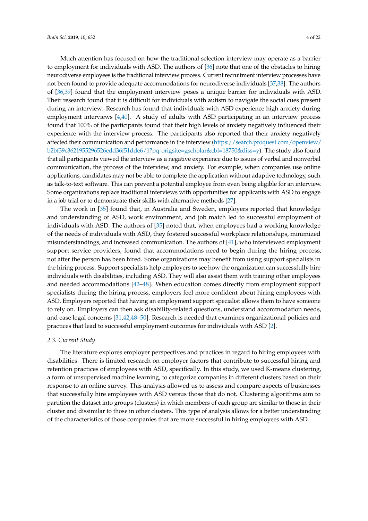Much attention has focused on how the traditional selection interview may operate as a barrier to employment for individuals with ASD. The authors of [\[36\]](#page-22-3) note that one of the obstacles to hiring neurodiverse employees is the traditional interview process. Current recruitment interview processes have not been found to provide adequate accommodations for neurodiverse individuals [\[37,](#page-22-4)[38\]](#page-22-5). The authors of [\[36,](#page-22-3)[39\]](#page-22-6) found that the employment interview poses a unique barrier for individuals with ASD. Their research found that it is difficult for individuals with autism to navigate the social cues present during an interview. Research has found that individuals with ASD experience high anxiety during employment interviews [\[4](#page-20-3)[,40\]](#page-22-7). A study of adults with ASD participating in an interview process found that 100% of the participants found that their high levels of anxiety negatively influenced their experience with the interview process. The participants also reported that their anxiety negatively affected their communication and performance in the interview [\(https://search.proquest.com/openview/](https://search.proquest.com/openview/b2bf39c3621955296526edd36f51dde6/1?pq-origsite=gscholar&cbl=18750&diss=y) [b2bf39c3621955296526edd36f51dde6/1?pq-origsite=gscholar&cbl=18750&diss=y\)](https://search.proquest.com/openview/b2bf39c3621955296526edd36f51dde6/1?pq-origsite=gscholar&cbl=18750&diss=y). The study also found that all participants viewed the interview as a negative experience due to issues of verbal and nonverbal communication, the process of the interview, and anxiety. For example, when companies use online applications, candidates may not be able to complete the application without adaptive technology, such as talk-to-text software. This can prevent a potential employee from even being eligible for an interview. Some organizations replace traditional interviews with opportunities for applicants with ASD to engage in a job trial or to demonstrate their skills with alternative methods [\[27\]](#page-21-16).

The work in [\[35\]](#page-22-2) found that, in Australia and Sweden, employers reported that knowledge and understanding of ASD, work environment, and job match led to successful employment of individuals with ASD. The authors of [\[35\]](#page-22-2) noted that, when employees had a working knowledge of the needs of individuals with ASD, they fostered successful workplace relationships, minimized misunderstandings, and increased communication. The authors of [\[41\]](#page-22-8), who interviewed employment support service providers, found that accommodations need to begin during the hiring process, not after the person has been hired. Some organizations may benefit from using support specialists in the hiring process. Support specialists help employers to see how the organization can successfully hire individuals with disabilities, including ASD. They will also assist them with training other employees and needed accommodations [\[42–](#page-22-9)[48\]](#page-22-10). When education comes directly from employment support specialists during the hiring process, employers feel more confident about hiring employees with ASD. Employers reported that having an employment support specialist allows them to have someone to rely on. Employers can then ask disability-related questions, understand accommodation needs, and ease legal concerns [\[31](#page-21-19)[,42](#page-22-9)[,48–](#page-22-10)[50\]](#page-22-11). Research is needed that examines organizational policies and practices that lead to successful employment outcomes for individuals with ASD [\[2\]](#page-20-1).

#### *2.3. Current Study*

The literature explores employer perspectives and practices in regard to hiring employees with disabilities. There is limited research on employer factors that contribute to successful hiring and retention practices of employees with ASD, specifically. In this study, we used K-means clustering, a form of unsupervised machine learning, to categorize companies in different clusters based on their response to an online survey. This analysis allowed us to assess and compare aspects of businesses that successfully hire employees with ASD versus those that do not. Clustering algorithms aim to partition the dataset into groups (clusters) in which members of each group are similar to those in their cluster and dissimilar to those in other clusters. This type of analysis allows for a better understanding of the characteristics of those companies that are more successful in hiring employees with ASD.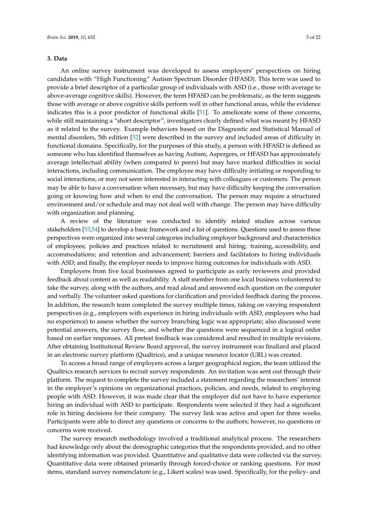#### **3. Data**

An online survey instrument was developed to assess employers' perspectives on hiring candidates with "High Functioning" Autism Spectrum Disorder (HFASD). This term was used to provide a brief descriptor of a particular group of individuals with ASD (i.e., those with average to above-average cognitive skills). However, the term HFASD can be problematic, as the term suggests those with average or above cognitive skills perform well in other functional areas, while the evidence indicates this is a poor predictor of functional skills [\[51\]](#page-22-12). To ameliorate some of these concerns, while still maintaining a "short descriptor", investigators clearly defined what was meant by HFASD as it related to the survey. Example behaviors based on the Diagnostic and Statistical Manual of mental disorders, 5th edition [\[52\]](#page-22-13) were described in the survey and included areas of difficulty in functional domains. Specifically, for the purposes of this study, a person with HFASD is defined as someone who has identified themselves as having Autism, Aspergers, or HFASD has approximately average intellectual ability (when compared to peers) but may have marked difficulties in social interactions, including communication. The employee may have difficulty initiating or responding to social interactions, or may not seem interested in interacting with colleagues or customers. The person may be able to have a conversation when necessary, but may have difficulty keeping the conversation going or knowing how and when to end the conversation. The person may require a structured environment and/or schedule and may not deal well with change. The person may have difficulty with organization and planning.

A review of the literature was conducted to identify related studies across various stakeholders [\[53](#page-22-14)[,54\]](#page-22-15) to develop a basic framework and a list of questions. Questions used to assess these perspectives were organized into several categories including employer background and characteristics of employees; policies and practices related to recruitment and hiring; training, accessibility, and accommodations; and retention and advancement; barriers and facilitators to hiring individuals with ASD; and finally, the employer needs to improve hiring outcomes for individuals with ASD.

Employers from five local businesses agreed to participate as early reviewers and provided feedback about content as well as readability. A staff member from one local business volunteered to take the survey, along with the authors, and read aloud and answered each question on the computer and verbally. The volunteer asked questions for clarification and provided feedback during the process. In addition, the research team completed the survey multiple times, taking on varying respondent perspectives (e.g., employers with experience in hiring individuals with ASD, employers who had no experience) to assess whether the survey branching logic was appropriate; also discussed were potential answers, the survey flow, and whether the questions were sequenced in a logical order based on earlier responses. All pretest feedback was considered and resulted in multiple revisions. After obtaining Institutional Review Board approval, the survey instrument was finalized and placed in an electronic survey platform (Qualtrics), and a unique resource locator (URL) was created.

To access a broad range of employers across a larger geographical region, the team utilized the Qualtrics research services to recruit survey respondents. An invitation was sent out through their platform. The request to complete the survey included a statement regarding the researchers' interest in the employer's opinions on organizational practices, policies, and needs, related to employing people with ASD. However, it was made clear that the employer did not have to have experience hiring an individual with ASD to participate. Respondents were selected if they had a significant role in hiring decisions for their company. The survey link was active and open for three weeks. Participants were able to direct any questions or concerns to the authors; however, no questions or concerns were received.

The survey research methodology involved a traditional analytical process. The researchers had knowledge only about the demographic categories that the respondents provided, and no other identifying information was provided. Quantitative and qualitative data were collected via the survey. Quantitative data were obtained primarily through forced-choice or ranking questions. For most items, standard survey nomenclature (e.g., Likert scales) was used. Specifically, for the policy- and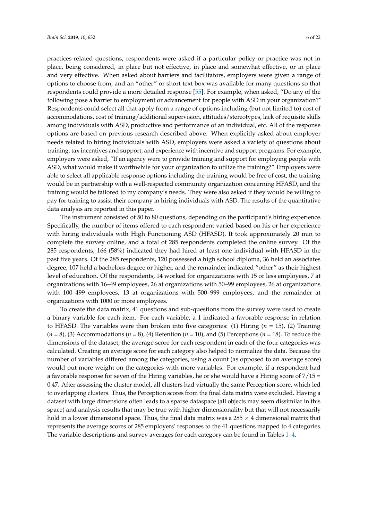practices-related questions, respondents were asked if a particular policy or practice was not in place, being considered, in place but not effective, in place and somewhat effective, or in place and very effective. When asked about barriers and facilitators, employers were given a range of options to choose from, and an "other" or short text box was available for many questions so that respondents could provide a more detailed response [\[55\]](#page-22-16). For example, when asked, "Do any of the following pose a barrier to employment or advancement for people with ASD in your organization?" Respondents could select all that apply from a range of options including (but not limited to) cost of accommodations, cost of training/additional supervision, attitudes/stereotypes, lack of requisite skills among individuals with ASD, productive and performance of an individual, etc. All of the response options are based on previous research described above. When explicitly asked about employer needs related to hiring individuals with ASD, employers were asked a variety of questions about training, tax incentives and support, and experience with incentive and support programs. For example, employers were asked, "If an agency were to provide training and support for employing people with ASD, what would make it worthwhile for your organization to utilize the training?" Employers were able to select all applicable response options including the training would be free of cost, the training would be in partnership with a well-respected community organization concerning HFASD, and the training would be tailored to my company's needs. They were also asked if they would be willing to pay for training to assist their company in hiring individuals with ASD. The results of the quantitative data analysis are reported in this paper.

The instrument consisted of 50 to 80 questions, depending on the participant's hiring experience. Specifically, the number of items offered to each respondent varied based on his or her experience with hiring individuals with High Functioning ASD (HFASD). It took approximately 20 min to complete the survey online, and a total of 285 respondents completed the online survey. Of the 285 respondents, 166 (58%) indicated they had hired at least one individual with HFASD in the past five years. Of the 285 respondents, 120 possessed a high school diploma, 36 held an associates degree, 107 held a bachelors degree or higher, and the remainder indicated "other" as their highest level of education. Of the respondents, 14 worked for organizations with 15 or less employees, 7 at organizations with 16–49 employees, 26 at organizations with 50–99 employees, 26 at organizations with 100–499 employees, 13 at organizations with 500–999 employees, and the remainder at organizations with 1000 or more employees.

To create the data matrix, 41 questions and sub-questions from the survey were used to create a binary variable for each item. For each variable, a 1 indicated a favorable response in relation to HFASD. The variables were then broken into five categories: (1) Hiring (*n* = 15), (2) Training (*n* = 8), (3) Accommodations (*n* = 8), (4) Retention (*n* = 10), and (5) Perceptions (*n* = 18). To reduce the dimensions of the dataset, the average score for each respondent in each of the four categories was calculated. Creating an average score for each category also helped to normalize the data. Because the number of variables differed among the categories, using a count (as opposed to an average score) would put more weight on the categories with more variables. For example, if a respondent had a favorable response for seven of the Hiring variables, he or she would have a Hiring score of 7/15 = 0.47. After assessing the cluster model, all clusters had virtually the same Perception score, which led to overlapping clusters. Thus, the Perception scores from the final data matrix were excluded. Having a dataset with large dimensions often leads to a sparse dataspace (all objects may seem dissimilar in this space) and analysis results that may be true with higher dimensionality but that will not necessarily hold in a lower dimensional space. Thus, the final data matrix was a  $285 \times 4$  dimensional matrix that represents the average scores of 285 employers' responses to the 41 questions mapped to 4 categories. The variable descriptions and survey averages for each category can be found in Tables [1](#page-8-0)[–4.](#page-9-0)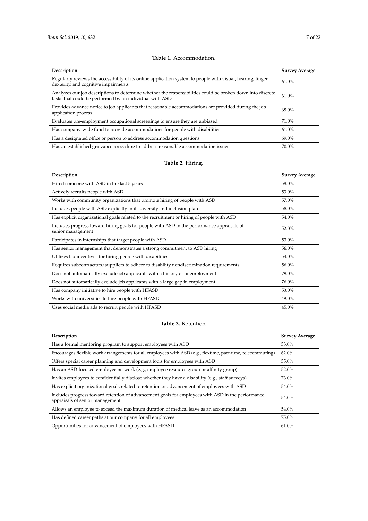<span id="page-8-0"></span>

| Description                                                                                                                                                           | <b>Survey Average</b> |
|-----------------------------------------------------------------------------------------------------------------------------------------------------------------------|-----------------------|
| Regularly reviews the accessibility of its online application system to people with visual, hearing, finger<br>dexterity, and cognitive impairments                   | 61.0%                 |
| Analyzes our job descriptions to determine whether the responsibilities could be broken down into discrete<br>tasks that could be performed by an individual with ASD | 61.0%                 |
| Provides advance notice to job applicants that reasonable accommodations are provided during the job<br>application process                                           | 68.0%                 |
| Evaluates pre-employment occupational screenings to ensure they are unbiased                                                                                          | 71.0%                 |
| Has company-wide fund to provide accommodations for people with disabilities                                                                                          | 61.0%                 |
| Has a designated office or person to address accommodation questions                                                                                                  | 69.0%                 |
| Has an established grievance procedure to address reasonable accommodation issues                                                                                     | $70.0\%$              |

#### **Table 1.** Accommodation.

## **Table 2.** Hiring.

| Description                                                                                                     | <b>Survey Average</b> |
|-----------------------------------------------------------------------------------------------------------------|-----------------------|
| Hired someone with ASD in the last 5 years                                                                      | 58.0%                 |
| Actively recruits people with ASD                                                                               | 53.0%                 |
| Works with community organizations that promote hiring of people with ASD                                       | 57.0%                 |
| Includes people with ASD explicitly in its diversity and inclusion plan                                         | 58.0%                 |
| Has explicit organizational goals related to the recruitment or hiring of people with ASD                       | 54.0%                 |
| Includes progress toward hiring goals for people with ASD in the performance appraisals of<br>senior management | 52.0%                 |
| Participates in internships that target people with ASD                                                         | 53.0%                 |
| Has senior management that demonstrates a strong commitment to ASD hiring                                       | 56.0%                 |
| Utilizes tax incentives for hiring people with disabilities                                                     | 54.0%                 |
| Requires subcontractors/suppliers to adhere to disability nondiscrimination requirements                        | 56.0%                 |
| Does not automatically exclude job applicants with a history of unemployment                                    | 79.0%                 |
| Does not automatically exclude job applicants with a large gap in employment                                    | 76.0%                 |
| Has company initiative to hire people with HFASD                                                                | 53.0%                 |
| Works with universities to hire people with HFASD                                                               | 49.0%                 |
| Uses social media ads to recruit people with HFASD                                                              | 45.0%                 |

## **Table 3.** Retention.

| Description                                                                                                                          | <b>Survey Average</b> |
|--------------------------------------------------------------------------------------------------------------------------------------|-----------------------|
| Has a formal mentoring program to support employees with ASD                                                                         | 53.0%                 |
| Encourages flexible work arrangements for all employees with ASD (e.g., flextime, part-time, telecommuting)                          | $62.0\%$              |
| Offers special career planning and development tools for employees with ASD                                                          | 55.0%                 |
| Has an ASD-focused employee network (e.g., employee resource group or affinity group)                                                | 52.0%                 |
| Invites employees to confidentially disclose whether they have a disability (e.g., staff surveys)                                    | 73.0%                 |
| Has explicit organizational goals related to retention or advancement of employees with ASD                                          | 54.0%                 |
| Includes progress toward retention of advancement goals for employees with ASD in the performance<br>appraisals of senior management | 54.0%                 |
| Allows an employee to exceed the maximum duration of medical leave as an accommodation                                               | 54.0%                 |
| Has defined career paths at our company for all employees                                                                            | 75.0%                 |
| Opportunities for advancement of employees with HFASD                                                                                | $61.0\%$              |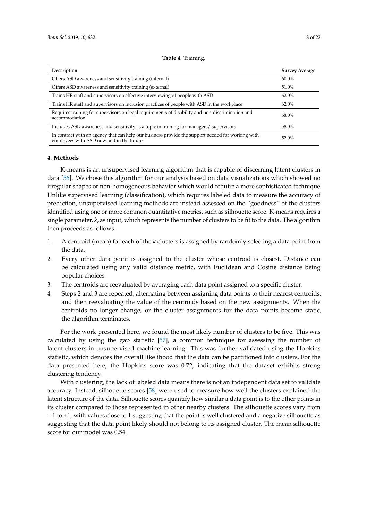<span id="page-9-0"></span>

| Description                                                                                                                                   | <b>Survey Average</b> |
|-----------------------------------------------------------------------------------------------------------------------------------------------|-----------------------|
| Offers ASD awareness and sensitivity training (internal)                                                                                      | $60.0\%$              |
| Offers ASD awareness and sensitivity training (external)                                                                                      | 51.0%                 |
| Trains HR staff and supervisors on effective interviewing of people with ASD                                                                  | $62.0\%$              |
| Trains HR staff and supervisors on inclusion practices of people with ASD in the workplace                                                    | $62.0\%$              |
| Requires training for supervisors on legal requirements of disability and non-discrimination and<br>accommodation                             | 68.0%                 |
| Includes ASD awareness and sensitivity as a topic in training for managers/supervisors                                                        | 58.0%                 |
| In contract with an agency that can help our business provide the support needed for working with<br>employees with ASD now and in the future | 52.0%                 |

#### **Table 4.** Training.

#### **4. Methods**

K-means is an unsupervised learning algorithm that is capable of discerning latent clusters in data [\[56\]](#page-23-0). We chose this algorithm for our analysis based on data visualizations which showed no irregular shapes or non-homogeneous behavior which would require a more sophisticated technique. Unlike supervised learning (classification), which requires labeled data to measure the accuracy of prediction, unsupervised learning methods are instead assessed on the "goodness" of the clusters identified using one or more common quantitative metrics, such as silhouette score. K-means requires a single parameter, *k*, as input, which represents the number of clusters to be fit to the data. The algorithm then proceeds as follows.

- 1. A centroid (mean) for each of the *k* clusters is assigned by randomly selecting a data point from the data.
- 2. Every other data point is assigned to the cluster whose centroid is closest. Distance can be calculated using any valid distance metric, with Euclidean and Cosine distance being popular choices.
- 3. The centroids are reevaluated by averaging each data point assigned to a specific cluster.
- 4. Steps 2 and 3 are repeated, alternating between assigning data points to their nearest centroids, and then reevaluating the value of the centroids based on the new assignments. When the centroids no longer change, or the cluster assignments for the data points become static, the algorithm terminates.

For the work presented here, we found the most likely number of clusters to be five. This was calculated by using the gap statistic [\[57\]](#page-23-1), a common technique for assessing the number of latent clusters in unsupervised machine learning. This was further validated using the Hopkins statistic, which denotes the overall likelihood that the data can be partitioned into clusters. For the data presented here, the Hopkins score was 0.72, indicating that the dataset exhibits strong clustering tendency.

With clustering, the lack of labeled data means there is not an independent data set to validate accuracy. Instead, silhouette scores [\[58\]](#page-23-2) were used to measure how well the clusters explained the latent structure of the data. Silhouette scores quantify how similar a data point is to the other points in its cluster compared to those represented in other nearby clusters. The silhouette scores vary from −1 to +1, with values close to 1 suggesting that the point is well clustered and a negative silhouette as suggesting that the data point likely should not belong to its assigned cluster. The mean silhouette score for our model was 0.54.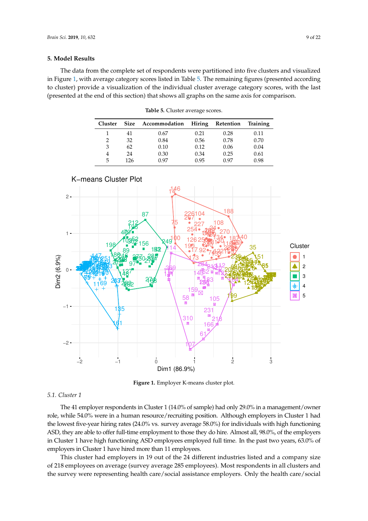#### **5. Model Results**

<span id="page-10-1"></span>The data from the complete set of respondents were partitioned into five clusters and visualized in Figure [1,](#page-10-0) with average category scores listed in Table [5.](#page-10-1) The remaining figures (presented according to cluster) provide a visualization of the individual cluster average category scores, with the last (presented at the end of this section) that shows all graphs on the same axis for comparison.

| <b>Cluster</b> |     | Size Accommodation Hiring Retention |      |      | Training |
|----------------|-----|-------------------------------------|------|------|----------|
|                | 41  | 0.67                                | 0.21 | 0.28 | 0.11     |
| 2              | 32  | 0.84                                | 0.56 | 0.78 | 0.70     |
| 3              | 62  | 0.10                                | 0.12 | 0.06 | 0.04     |
|                | 24  | 0.30                                | 0.34 | 0.25 | 0.61     |
| 5              | 126 | በ 97                                | 0.95 | 0.97 | 0.98     |

**Table 5.** Cluster average scores.

<span id="page-10-0"></span>

**Figure 1.** Employer K-means cluster plot.

## *5.1. Cluster 1*

The 41 employer respondents in Cluster 1 (14.0% of sample) had only 29.0% in a management/owner role, while 54.0% were in a human resource/recruiting position. Although employers in Cluster 1 had the lowest five-year hiring rates (24.0% vs. survey average 58.0%) for individuals with high functioning ASD, they are able to offer full-time employment to those they do hire. Almost all, 98.0%, of the employers in Cluster 1 have high functioning ASD employees employed full time. In the past two years, 63.0% of employers in Cluster 1 have hired more than 11 employees.

This cluster had employers in 19 out of the 24 different industries listed and a company size of 218 employees on average (survey average 285 employees). Most respondents in all clusters and the survey were representing health care/social assistance employers. Only the health care/social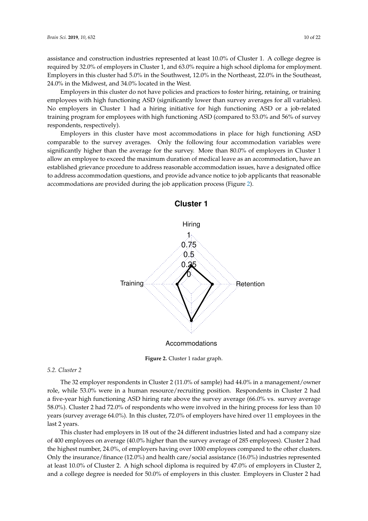assistance and construction industries represented at least 10.0% of Cluster 1. A college degree is required by 32.0% of employers in Cluster 1, and 63.0% require a high school diploma for employment. Employers in this cluster had 5.0% in the Southwest, 12.0% in the Northeast, 22.0% in the Southeast, 24.0% in the Midwest, and 34.0% located in the West.

Employers in this cluster do not have policies and practices to foster hiring, retaining, or training employees with high functioning ASD (significantly lower than survey averages for all variables). No employers in Cluster 1 had a hiring initiative for high functioning ASD or a job-related training program for employees with high functioning ASD (compared to 53.0% and 56% of survey respondents, respectively).

<span id="page-11-0"></span>Employers in this cluster have most accommodations in place for high functioning ASD comparable to the survey averages. Only the following four accommodation variables were significantly higher than the average for the survey. More than 80.0% of employers in Cluster 1 allow an employee to exceed the maximum duration of medical leave as an accommodation, have an established grievance procedure to address reasonable accommodation issues, have a designated office to address accommodation questions, and provide advance notice to job applicants that reasonable accommodations are provided during the job application process (Figure [2\)](#page-11-0).



**Figure 2.** Cluster 1 radar graph.

## *5.2. Cluster 2*

The 32 employer respondents in Cluster 2 (11.0% of sample) had 44.0% in a management/owner role, while 53.0% were in a human resource/recruiting position. Respondents in Cluster 2 had a five-year high functioning ASD hiring rate above the survey average (66.0% vs. survey average 58.0%). Cluster 2 had 72.0% of respondents who were involved in the hiring process for less than 10 years (survey average 64.0%). In this cluster, 72.0% of employers have hired over 11 employees in the last 2 years.

This cluster had employers in 18 out of the 24 different industries listed and had a company size of 400 employees on average (40.0% higher than the survey average of 285 employees). Cluster 2 had the highest number, 24.0%, of employers having over 1000 employees compared to the other clusters. Only the insurance/finance (12.0%) and health care/social assistance (16.0%) industries represented at least 10.0% of Cluster 2. A high school diploma is required by 47.0% of employers in Cluster 2, and a college degree is needed for 50.0% of employers in this cluster. Employers in Cluster 2 had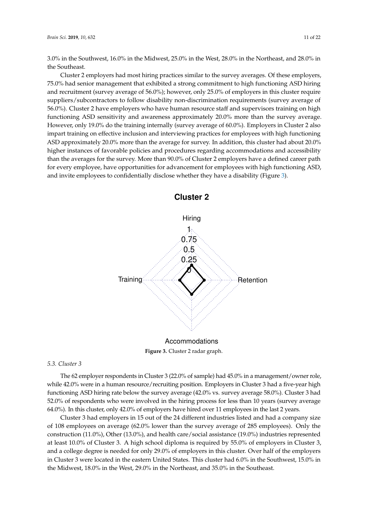3.0% in the Southwest, 16.0% in the Midwest, 25.0% in the West, 28.0% in the Northeast, and 28.0% in the Southeast.

Cluster 2 employers had most hiring practices similar to the survey averages. Of these employers, 75.0% had senior management that exhibited a strong commitment to high functioning ASD hiring and recruitment (survey average of 56.0%); however, only 25.0% of employers in this cluster require suppliers/subcontractors to follow disability non-discrimination requirements (survey average of 56.0%). Cluster 2 have employers who have human resource staff and supervisors training on high functioning ASD sensitivity and awareness approximately 20.0% more than the survey average. However, only 19.0% do the training internally (survey average of 60.0%). Employers in Cluster 2 also impart training on effective inclusion and interviewing practices for employees with high functioning ASD approximately 20.0% more than the average for survey. In addition, this cluster had about 20.0% higher instances of favorable policies and procedures regarding accommodations and accessibility than the averages for the survey. More than 90.0% of Cluster 2 employers have a defined career path for every employee, have opportunities for advancement for employees with high functioning ASD, and invite employees to confidentially disclose whether they have a disability (Figure [3\)](#page-12-0).

<span id="page-12-0"></span>

**Cluster 2**

Accommodations

**Figure 3.** Cluster 2 radar graph.

## *5.3. Cluster 3*

The 62 employer respondents in Cluster 3 (22.0% of sample) had 45.0% in a management/owner role, while 42.0% were in a human resource/recruiting position. Employers in Cluster 3 had a five-year high functioning ASD hiring rate below the survey average (42.0% vs. survey average 58.0%). Cluster 3 had 52.0% of respondents who were involved in the hiring process for less than 10 years (survey average 64.0%). In this cluster, only 42.0% of employers have hired over 11 employees in the last 2 years.

Cluster 3 had employers in 15 out of the 24 different industries listed and had a company size of 108 employees on average (62.0% lower than the survey average of 285 employees). Only the construction (11.0%), Other (13.0%), and health care/social assistance (19.0%) industries represented at least 10.0% of Cluster 3. A high school diploma is required by 55.0% of employers in Cluster 3, and a college degree is needed for only 29.0% of employers in this cluster. Over half of the employers in Cluster 3 were located in the eastern United States. This cluster had 6.0% in the Southwest, 15.0% in the Midwest, 18.0% in the West, 29.0% in the Northeast, and 35.0% in the Southeast.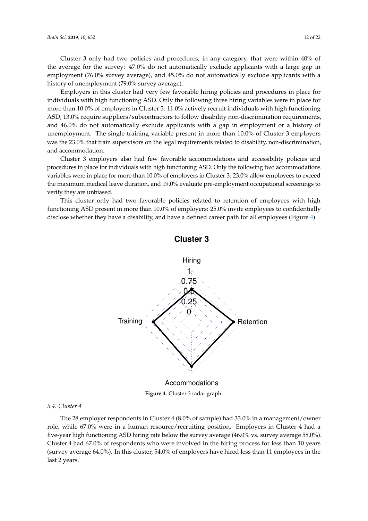Cluster 3 only had two policies and procedures, in any category, that were within 40% of the average for the survey: 47.0% do not automatically exclude applicants with a large gap in employment (76.0% survey average), and 45.0% do not automatically exclude applicants with a history of unemployment (79.0% survey average).

Employers in this cluster had very few favorable hiring policies and procedures in place for individuals with high functioning ASD. Only the following three hiring variables were in place for more than 10.0% of employers in Cluster 3: 11.0% actively recruit individuals with high functioning ASD, 13.0% require suppliers/subcontractors to follow disability non-discrimination requirements, and 46.0% do not automatically exclude applicants with a gap in employment or a history of unemployment. The single training variable present in more than 10.0% of Cluster 3 employers was the 23.0% that train supervisors on the legal requirements related to disability, non-discrimination, and accommodation.

Cluster 3 employers also had few favorable accommodations and accessibility policies and procedures in place for individuals with high functioning ASD. Only the following two accommodations variables were in place for more than 10.0% of employers in Cluster 3: 23.0% allow employees to exceed the maximum medical leave duration, and 19.0% evaluate pre-employment occupational screenings to verify they are unbiased.

<span id="page-13-0"></span>This cluster only had two favorable policies related to retention of employees with high functioning ASD present in more than 10.0% of employers: 25.0% invite employees to confidentially disclose whether they have a disability, and have a defined career path for all employees (Figure [4\)](#page-13-0).



**Cluster 3**

**Figure 4.** Cluster 3 radar graph.

#### *5.4. Cluster 4*

The 28 employer respondents in Cluster 4 (8.0% of sample) had 33.0% in a management/owner role, while 67.0% were in a human resource/recruiting position. Employers in Cluster 4 had a five-year high functioning ASD hiring rate below the survey average (46.0% vs. survey average 58.0%). Cluster 4 had 67.0% of respondents who were involved in the hiring process for less than 10 years (survey average 64.0%). In this cluster, 54.0% of employers have hired less than 11 employees in the last 2 years.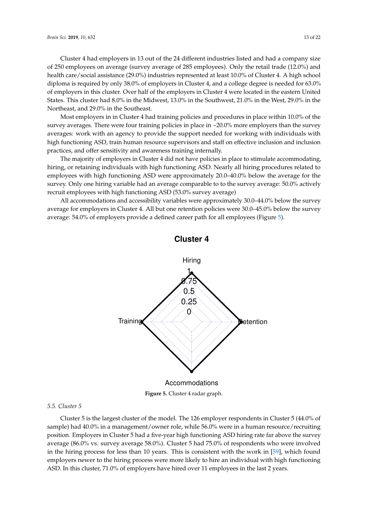Cluster 4 had employers in 13 out of the 24 different industries listed and had a company size of 250 employees on average (survey average of 285 employees). Only the retail trade (12.0%) and health care/social assistance (29.0%) industries represented at least 10.0% of Cluster 4. A high school diploma is required by only 38.0% of employers in Cluster 4, and a college degree is needed for 63.0% of employers in this cluster. Over half of the employers in Cluster 4 were located in the eastern United States. This cluster had 8.0% in the Midwest, 13.0% in the Southwest, 21.0% in the West, 29.0% in the Northeast, and 29.0% in the Southeast.

Most employers in in Cluster 4 had training policies and procedures in place within 10.0% of the survey averages. There were four training policies in place in ~20.0% more employers than the survey averages: work with an agency to provide the support needed for working with individuals with high functioning ASD, train human resource supervisors and staff on effective inclusion and inclusion practices, and offer sensitivity and awareness training internally.

The majority of employers in Cluster 4 did not have policies in place to stimulate accommodating, hiring, or retaining individuals with high functioning ASD. Nearly all hiring procedures related to employees with high functioning ASD were approximately 20.0–40.0% below the average for the survey. Only one hiring variable had an average comparable to to the survey average: 50.0% actively recruit employees with high functioning ASD (53.0% survey average)

<span id="page-14-0"></span>All accommodations and accessibility variables were approximately 30.0–44.0% below the survey average for employers in Cluster 4. All but one retention policies were 30.0–45.0% below the survey average: 54.0% of employers provide a defined career path for all employees (Figure [5\)](#page-14-0).



**Cluster 4**

**Figure 5.** Cluster 4 radar graph.

#### *5.5. Cluster 5*

Cluster 5 is the largest cluster of the model. The 126 employer respondents in Cluster 5 (44.0% of sample) had 40.0% in a management/owner role, while 56.0% were in a human resource/recruiting position. Employers in Cluster 5 had a five-year high functioning ASD hiring rate far above the survey average (86.0% vs. survey average 58.0%). Cluster 5 had 75.0% of respondents who were involved in the hiring process for less than 10 years. This is consistent with the work in [\[59\]](#page-23-3), which found employers newer to the hiring process were more likely to hire an individual with high functioning ASD. In this cluster, 71.0% of employers have hired over 11 employees in the last 2 years.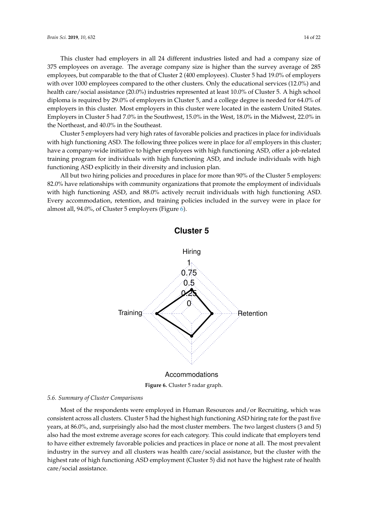This cluster had employers in all 24 different industries listed and had a company size of 375 employees on average. The average company size is higher than the survey average of 285 employees, but comparable to the that of Cluster 2 (400 employees). Cluster 5 had 19.0% of employers with over 1000 employees compared to the other clusters. Only the educational services (12.0%) and health care/social assistance (20.0%) industries represented at least 10.0% of Cluster 5. A high school diploma is required by 29.0% of employers in Cluster 5, and a college degree is needed for 64.0% of employers in this cluster. Most employers in this cluster were located in the eastern United States. Employers in Cluster 5 had 7.0% in the Southwest, 15.0% in the West, 18.0% in the Midwest, 22.0% in the Northeast, and 40.0% in the Southeast.

Cluster 5 employers had very high rates of favorable policies and practices in place for individuals with high functioning ASD. The following three polices were in place for *all* employers in this cluster; have a company-wide initiative to higher employees with high functioning ASD, offer a job-related training program for individuals with high functioning ASD, and include individuals with high functioning ASD explicitly in their diversity and inclusion plan.

<span id="page-15-0"></span>All but two hiring policies and procedures in place for more than 90% of the Cluster 5 employers: 82.0% have relationships with community organizations that promote the employment of individuals with high functioning ASD, and 88.0% actively recruit individuals with high functioning ASD. Every accommodation, retention, and training policies included in the survey were in place for almost all, 94.0%, of Cluster 5 employers (Figure [6\)](#page-15-0).



**Figure 6.** Cluster 5 radar graph.

#### *5.6. Summary of Cluster Comparisons*

Most of the respondents were employed in Human Resources and/or Recruiting, which was consistent across all clusters. Cluster 5 had the highest high functioning ASD hiring rate for the past five years, at 86.0%, and, surprisingly also had the most cluster members. The two largest clusters (3 and 5) also had the most extreme average scores for each category. This could indicate that employers tend to have either extremely favorable policies and practices in place or none at all. The most prevalent industry in the survey and all clusters was health care/social assistance, but the cluster with the highest rate of high functioning ASD employment (Cluster 5) did not have the highest rate of health care/social assistance.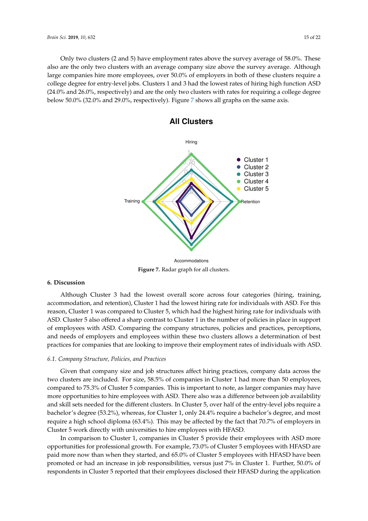<span id="page-16-0"></span>Only two clusters (2 and 5) have employment rates above the survey average of 58.0%. These also are the only two clusters with an average company size above the survey average. Although large companies hire more employees, over 50.0% of employers in both of these clusters require a college degree for entry-level jobs. Clusters 1 and 3 had the lowest rates of hiring high function ASD (24.0% and 26.0%, respectively) and are the only two clusters with rates for requiring a college degree below 50.0% (32.0% and 29.0%, respectively). Figure [7](#page-16-0) shows all graphs on the same axis.



**All Clusters**

**Figure 7.** Radar graph for all clusters.

#### **6. Discussion**

Although Cluster 3 had the lowest overall score across four categories (hiring, training, accommodation, and retention), Cluster 1 had the lowest hiring rate for individuals with ASD. For this reason, Cluster 1 was compared to Cluster 5, which had the highest hiring rate for individuals with ASD. Cluster 5 also offered a sharp contrast to Cluster 1 in the number of policies in place in support of employees with ASD. Comparing the company structures, policies and practices, perceptions, and needs of employers and employees within these two clusters allows a determination of best practices for companies that are looking to improve their employment rates of individuals with ASD.

#### *6.1. Company Structure, Policies, and Practices*

Given that company size and job structures affect hiring practices, company data across the two clusters are included. For size, 58.5% of companies in Cluster 1 had more than 50 employees, compared to 75.3% of Cluster 5 companies. This is important to note, as larger companies may have more opportunities to hire employees with ASD. There also was a difference between job availability and skill sets needed for the different clusters. In Cluster 5, over half of the entry-level jobs require a bachelor's degree (53.2%), whereas, for Cluster 1, only 24.4% require a bachelor's degree, and most require a high school diploma (63.4%). This may be affected by the fact that 70.7% of employers in Cluster 5 work directly with universities to hire employees with HFASD.

In comparison to Cluster 1, companies in Cluster 5 provide their employees with ASD more opportunities for professional growth. For example, 73.0% of Cluster 5 employees with HFASD are paid more now than when they started, and 65.0% of Cluster 5 employees with HFASD have been promoted or had an increase in job responsibilities, versus just 7% in Cluster 1. Further, 50.0% of respondents in Cluster 5 reported that their employees disclosed their HFASD during the application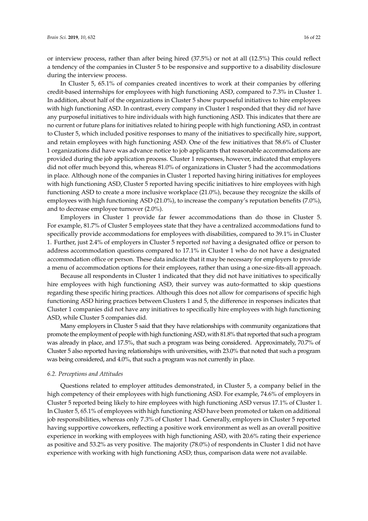or interview process, rather than after being hired (37.5%) or not at all (12.5%) This could reflect a tendency of the companies in Cluster 5 to be responsive and supportive to a disability disclosure during the interview process.

In Cluster 5, 65.1% of companies created incentives to work at their companies by offering credit-based internships for employees with high functioning ASD, compared to 7.3% in Cluster 1. In addition, about half of the organizations in Cluster 5 show purposeful initiatives to hire employees with high functioning ASD. In contrast, every company in Cluster 1 responded that they did *not* have any purposeful initiatives to hire individuals with high functioning ASD. This indicates that there are no current or future plans for initiatives related to hiring people with high functioning ASD, in contrast to Cluster 5, which included positive responses to many of the initiatives to specifically hire, support, and retain employees with high functioning ASD. One of the few initiatives that 58.6% of Cluster 1 organizations did have was advance notice to job applicants that reasonable accommodations are provided during the job application process. Cluster 1 responses, however, indicated that employers did not offer much beyond this, whereas 81.0% of organizations in Cluster 5 had the accommodations in place. Although none of the companies in Cluster 1 reported having hiring initiatives for employees with high functioning ASD, Cluster 5 reported having specific initiatives to hire employees with high functioning ASD to create a more inclusive workplace (21.0%), because they recognize the skills of employees with high functioning ASD (21.0%), to increase the company's reputation benefits (7.0%), and to decrease employee turnover (2.0%).

Employers in Cluster 1 provide far fewer accommodations than do those in Cluster 5. For example, 81.7% of Cluster 5 employees state that they have a centralized accommodations fund to specifically provide accommodations for employees with disabilities, compared to 39.1% in Cluster 1. Further, just 2.4% of employers in Cluster 5 reported *not* having a designated office or person to address accommodation questions compared to 17.1% in Cluster 1 who do not have a designated accommodation office or person. These data indicate that it may be necessary for employers to provide a menu of accommodation options for their employees, rather than using a one-size-fits-all approach.

Because all respondents in Cluster 1 indicated that they did not have initiatives to specifically hire employees with high functioning ASD, their survey was auto-formatted to skip questions regarding these specific hiring practices. Although this does not allow for comparisons of specific high functioning ASD hiring practices between Clusters 1 and 5, the difference in responses indicates that Cluster 1 companies did not have any initiatives to specifically hire employees with high functioning ASD, while Cluster 5 companies did.

Many employers in Cluster 5 said that they have relationships with community organizations that promote the employment of people with high functioning ASD, with 81.8% that reported that such a program was already in place, and 17.5%, that such a program was being considered. Approximately, 70.7% of Cluster 5 also reported having relationships with universities, with 23.0% that noted that such a program was being considered, and 4.0%, that such a program was not currently in place.

#### *6.2. Perceptions and Attitudes*

Questions related to employer attitudes demonstrated, in Cluster 5, a company belief in the high competency of their employees with high functioning ASD. For example, 74.6% of employers in Cluster 5 reported being likely to hire employees with high functioning ASD versus 17.1% of Cluster 1. In Cluster 5, 65.1% of employees with high functioning ASD have been promoted or taken on additional job responsibilities, whereas only 7.3% of Cluster 1 had. Generally, employers in Cluster 5 reported having supportive coworkers, reflecting a positive work environment as well as an overall positive experience in working with employees with high functioning ASD, with 20.6% rating their experience as positive and 53.2% as very positive. The majority (78.0%) of respondents in Cluster 1 did not have experience with working with high functioning ASD; thus, comparison data were not available.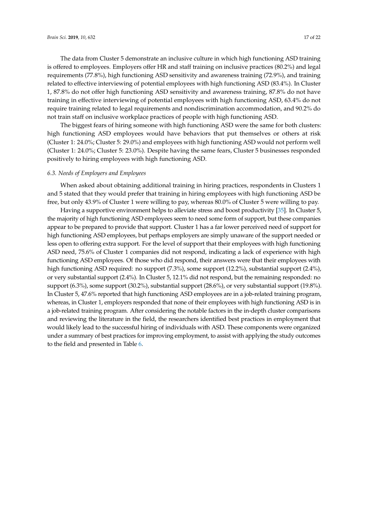The data from Cluster 5 demonstrate an inclusive culture in which high functioning ASD training is offered to employees. Employers offer HR and staff training on inclusive practices (80.2%) and legal requirements (77.8%), high functioning ASD sensitivity and awareness training (72.9%), and training related to effective interviewing of potential employees with high functioning ASD (83.4%). In Cluster 1, 87.8% do not offer high functioning ASD sensitivity and awareness training, 87.8% do not have training in effective interviewing of potential employees with high functioning ASD, 63.4% do not require training related to legal requirements and nondiscrimination accommodation, and 90.2% do not train staff on inclusive workplace practices of people with high functioning ASD.

The biggest fears of hiring someone with high functioning ASD were the same for both clusters: high functioning ASD employees would have behaviors that put themselves or others at risk (Cluster 1: 24.0%; Cluster 5: 29.0%) and employees with high functioning ASD would not perform well (Cluster 1: 24.0%; Cluster 5: 23.0%). Despite having the same fears, Cluster 5 businesses responded positively to hiring employees with high functioning ASD.

#### *6.3. Needs of Employers and Employees*

When asked about obtaining additional training in hiring practices, respondents in Clusters 1 and 5 stated that they would prefer that training in hiring employees with high functioning ASD be free, but only 43.9% of Cluster 1 were willing to pay, whereas 80.0% of Cluster 5 were willing to pay.

Having a supportive environment helps to alleviate stress and boost productivity [\[35\]](#page-22-2). In Cluster 5, the majority of high functioning ASD employees seem to need some form of support, but these companies appear to be prepared to provide that support. Cluster 1 has a far lower perceived need of support for high functioning ASD employees, but perhaps employers are simply unaware of the support needed or less open to offering extra support. For the level of support that their employees with high functioning ASD need, 75.6% of Cluster 1 companies did not respond, indicating a lack of experience with high functioning ASD employees. Of those who did respond, their answers were that their employees with high functioning ASD required: no support  $(7.3\%)$ , some support  $(12.2\%)$ , substantial support  $(2.4\%)$ , or very substantial support (2.4%). In Cluster 5, 12.1% did not respond, but the remaining responded: no support (6.3%), some support (30.2%), substantial support (28.6%), or very substantial support (19.8%). In Cluster 5, 47.6% reported that high functioning ASD employees are in a job-related training program, whereas, in Cluster 1, employers responded that none of their employees with high functioning ASD is in a job-related training program. After considering the notable factors in the in-depth cluster comparisons and reviewing the literature in the field, the researchers identified best practices in employment that would likely lead to the successful hiring of individuals with ASD. These components were organized under a summary of best practices for improving employment, to assist with applying the study outcomes to the field and presented in Table [6.](#page-19-0)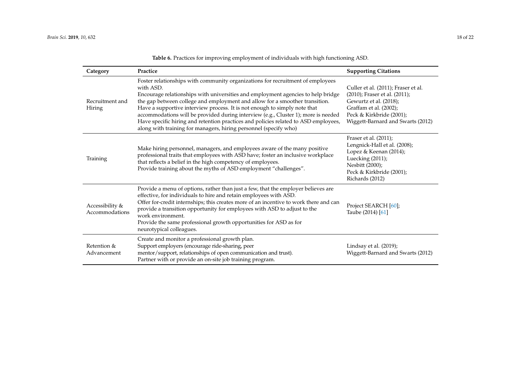<span id="page-19-0"></span>

| Category                          | Practice                                                                                                                                                                                                                                                                                                                                                                                                                                                                                                                                                                                     | <b>Supporting Citations</b>                                                                                                                                                               |
|-----------------------------------|----------------------------------------------------------------------------------------------------------------------------------------------------------------------------------------------------------------------------------------------------------------------------------------------------------------------------------------------------------------------------------------------------------------------------------------------------------------------------------------------------------------------------------------------------------------------------------------------|-------------------------------------------------------------------------------------------------------------------------------------------------------------------------------------------|
| Recruitment and<br>Hiring         | Foster relationships with community organizations for recruitment of employees<br>with ASD.<br>Encourage relationships with universities and employment agencies to help bridge<br>the gap between college and employment and allow for a smoother transition.<br>Have a supportive interview process. It is not enough to simply note that<br>accommodations will be provided during interview (e.g., Cluster 1); more is needed<br>Have specific hiring and retention practices and policies related to ASD employees,<br>along with training for managers, hiring personnel (specify who) | Culler et al. (2011); Fraser et al.<br>(2010); Fraser et al. (2011);<br>Gewurtz et al. (2018);<br>Graffam et al. (2002);<br>Peck & Kirkbride (2001);<br>Wiggett-Barnard and Swarts (2012) |
| Training                          | Make hiring personnel, managers, and employees aware of the many positive<br>professional traits that employees with ASD have; foster an inclusive workplace<br>that reflects a belief in the high competency of employees.<br>Provide training about the myths of ASD employment "challenges".                                                                                                                                                                                                                                                                                              | Fraser et al. (2011);<br>Lengnick-Hall et al. (2008);<br>Lopez & Keenan (2014);<br>Luecking (2011);<br>Nesbitt (2000);<br>Peck & Kirkbride (2001);<br>Richards (2012)                     |
| Accessibility &<br>Accommodations | Provide a menu of options, rather than just a few, that the employer believes are<br>effective, for individuals to hire and retain employees with ASD.<br>Offer for-credit internships; this creates more of an incentive to work there and can<br>provide a transition opportunity for employees with ASD to adjust to the<br>work environment.<br>Provide the same professional growth opportunities for ASD as for<br>neurotypical colleagues.                                                                                                                                            | Project SEARCH [60];<br>Taube (2014) [61]                                                                                                                                                 |
| Retention &<br>Advancement        | Create and monitor a professional growth plan.<br>Support employers (encourage ride-sharing, peer<br>mentor/support, relationships of open communication and trust).<br>Partner with or provide an on-site job training program.                                                                                                                                                                                                                                                                                                                                                             | Lindsay et al. (2019);<br>Wiggett-Barnard and Swarts (2012)                                                                                                                               |

**Table 6.** Practices for improving employment of individuals with high functioning ASD.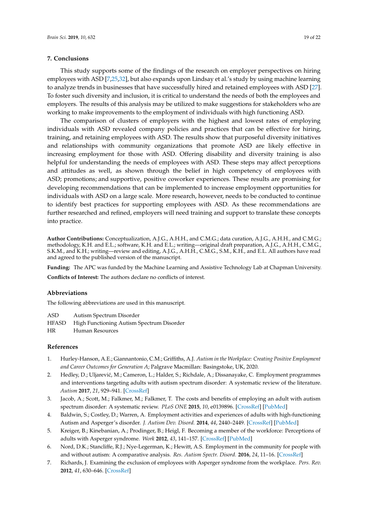#### **7. Conclusions**

This study supports some of the findings of the research on employer perspectives on hiring employees with ASD [\[7,](#page-20-4)[25](#page-21-14)[,32\]](#page-21-20), but also expands upon Lindsay et al.'s study by using machine learning to analyze trends in businesses that have successfully hired and retained employees with ASD [\[27\]](#page-21-16). To foster such diversity and inclusion, it is critical to understand the needs of both the employees and employers. The results of this analysis may be utilized to make suggestions for stakeholders who are working to make improvements to the employment of individuals with high functioning ASD.

The comparison of clusters of employers with the highest and lowest rates of employing individuals with ASD revealed company policies and practices that can be effective for hiring, training, and retaining employees with ASD. The results show that purposeful diversity initiatives and relationships with community organizations that promote ASD are likely effective in increasing employment for those with ASD. Offering disability and diversity training is also helpful for understanding the needs of employees with ASD. These steps may affect perceptions and attitudes as well, as shown through the belief in high competency of employees with ASD; promotions; and supportive, positive coworker experiences. These results are promising for developing recommendations that can be implemented to increase employment opportunities for individuals with ASD on a large scale. More research, however, needs to be conducted to continue to identify best practices for supporting employees with ASD. As these recommendations are further researched and refined, employers will need training and support to translate these concepts into practice.

**Author Contributions:** Conceptualization, A.J.G., A.H.H., and C.M.G.; data curation, A.J.G., A.H.H., and C.M.G.; methodology, K.H. and E.L.; software, K.H. and E.L.; writing—original draft preparation, A.J.G., A.H.H., C.M.G., S.K.M., and K.H.; writing—review and editing, A.J.G., A.H.H., C.M.G., S.M., K.H., and E.L. All authors have read and agreed to the published version of the manuscript.

**Funding:** The APC was funded by the Machine Learning and Assistive Technology Lab at Chapman University.

**Conflicts of Interest:** The authors declare no conflicts of interest.

#### **Abbreviations**

The following abbreviations are used in this manuscript.

ASD Autism Spectrum Disorder

- HFASD High Functioning Autism Spectrum Disorder
- HR Human Resources

#### **References**

- <span id="page-20-0"></span>1. Hurley-Hanson, A.E.; Giannantonio, C.M.; Griffiths, A.J. *Autism in the Workplace: Creating Positive Employment and Career Outcomes for Generation A*; Palgrave Macmillan: Basingstoke, UK, 2020.
- <span id="page-20-1"></span>2. Hedley, D.; Uljarević, M.; Cameron, L.; Halder, S.; Richdale, A.; Dissanayake, C. Employment programmes and interventions targeting adults with autism spectrum disorder: A systematic review of the literature. *Autism* **2017**, *21*, 929–941. [\[CrossRef\]](http://dx.doi.org/10.1177/1362361316661855)
- <span id="page-20-2"></span>3. Jacob, A.; Scott, M.; Falkmer, M.; Falkmer, T. The costs and benefits of employing an adult with autism spectrum disorder: A systematic review. *PLoS ONE* **2015**, *10*, e0139896. [\[CrossRef\]](http://dx.doi.org/10.1371/journal.pone.0139896) [\[PubMed\]](http://www.ncbi.nlm.nih.gov/pubmed/26445345)
- <span id="page-20-3"></span>4. Baldwin, S.; Costley, D.; Warren, A. Employment activities and experiences of adults with high-functioning Autism and Asperger's disorder. *J. Autism Dev. Disord.* **2014**, *44*, 2440–2449. [\[CrossRef\]](http://dx.doi.org/10.1007/s10803-014-2112-z) [\[PubMed\]](http://www.ncbi.nlm.nih.gov/pubmed/24715257)
- 5. Kreiger, B.; Kinebanian, A.; Prodinger, B.; Heigl, F. Becoming a member of the workforce: Perceptions of adults with Asperger syndrome. *Work* **2012**, *43*, 141–157. [\[CrossRef\]](http://dx.doi.org/10.3233/WOR-2012-1392) [\[PubMed\]](http://www.ncbi.nlm.nih.gov/pubmed/22927626)
- 6. Nord, D.K.; Stancliffe, R.J.; Nye-Legerman, K.; Hewitt, A.S. Employment in the community for people with and without autism: A comparative analysis. *Res. Autism Spectr. Disord.* **2016**, *24*, 11–16. [\[CrossRef\]](http://dx.doi.org/10.1016/j.rasd.2015.12.013)
- <span id="page-20-4"></span>7. Richards, J. Examining the exclusion of employees with Asperger syndrome from the workplace. *Pers. Rev.* **2012**, *41*, 630–646. [\[CrossRef\]](http://dx.doi.org/10.1108/00483481211249148)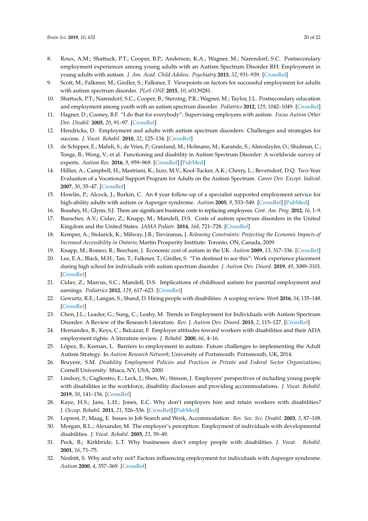- 8. Roux, A.M.; Shattuck, P.T.; Cooper, B.P.; Anderson, K.A.; Wagner, M.; Narendorf, S.C. Postsecondary employment experiences among young adults with an Autism Spectrum Disorder RH: Employment in young adults with autism. *J. Am. Acad. Child Adolesc. Psychiatry* **2013**, *52*, 931–939. [\[CrossRef\]](http://dx.doi.org/10.1016/j.jaac.2013.05.019)
- <span id="page-21-4"></span>9. Scott, M.; Falkmer, M.; Girdler, S.; Falkmer, T. Viewpoints on factors for successful employment for adults with autism spectrum disorder. *PLoS ONE* **2015**, *10*, e0139281.
- <span id="page-21-0"></span>10. Shattuck, P.T.; Narendorf, S.C.; Cooper, B.; Sterzing, P.R.; Wagner, M.; Taylor, J.L. Postsecondary education and employment among youth with an autism spectrum disorder. *Pediatrics* **2012**, *129*, 1042–1049. [\[CrossRef\]](http://dx.doi.org/10.1542/peds.2011-2864)
- <span id="page-21-1"></span>11. Hagner, D.; Cooney, B.F. "I do that for everybody": Supervising employees with autism. *Focus Autism Other Dev. Disabil.* **2005**, *20*, 91–97. [\[CrossRef\]](http://dx.doi.org/10.1177/10883576050200020501)
- <span id="page-21-2"></span>12. Hendricks, D. Employment and adults with autism spectrum disorders: Challenges and strategies for success. *J. Vocat. Rehabil.* **2010**, *32*, 125–134. [\[CrossRef\]](http://dx.doi.org/10.3233/JVR-2010-0502)
- <span id="page-21-3"></span>13. de Schipper, E.; Mahdi, S.; de Vries, P.; Granlund, M.; Holmann, M.; Karande, S.; Almodayfer, O.; Shulman, C.; Tonge, B.; Wong, V.; et al. Functioning and disability in Autism Spectrum Disorder: A worldwide survey of experts. *Autism Res.* **2016**, *9*, 959–969. [\[CrossRef\]](http://dx.doi.org/10.1002/aur.1592) [\[PubMed\]](http://www.ncbi.nlm.nih.gov/pubmed/26749373)
- <span id="page-21-5"></span>14. Hillier, A.; Campbell, H.; Mastriani, K.; Izzo, M.V.; Kool-Tucker, A.K.; Cherry, L.; Beversdorf, D.Q. Two-Year Evaluation of a Vocational Support Program for Adults on the Autism Spectrum. *Career Dev. Except. Individ.* **2007**, *30*, 35–47. [\[CrossRef\]](http://dx.doi.org/10.1177/08857288070300010501)
- <span id="page-21-6"></span>15. Howlin, P.; Alcock, J.; Burkin, C. An 8 year follow-up of a specialist supported employment service for high-ability adults with autism or Asperger syndrome. *Autism* **2005**, *9*, 533–549. [\[CrossRef\]](http://dx.doi.org/10.1177/1362361305057871) [\[PubMed\]](http://www.ncbi.nlm.nih.gov/pubmed/16287704)
- <span id="page-21-7"></span>16. Boushey, H.; Glynn, S.J. There are significant business costs to replacing employees. *Cent. Am. Prog.* **2012**, *16*, 1–9.
- <span id="page-21-8"></span>17. Buescher, A.V.; Cidav, Z.; Knapp, M.; Mandell, D.S. Costs of autism spectrum disorders in the United Kingdom and the United States. *JAMA Pediatr.* **2014**, *168*, 721–728. [\[CrossRef\]](http://dx.doi.org/10.1001/jamapediatrics.2014.210)
- 18. Kemper, A.; Stolarick, K.; Milway, J.B.; Treviranus, J. *Releasing Constraints: Projecting the Economic Impacts of Increased Accessibility in Ontario*; Martin Prosperity Institute: Toronto, ON, Canada, 2009.
- <span id="page-21-9"></span>19. Knapp, M.; Romeo, R.; Beecham, J. Economic cost of autism in the UK. *Autism* **2009**, *13*, 317–336. [\[CrossRef\]](http://dx.doi.org/10.1177/1362361309104246)
- <span id="page-21-10"></span>20. Lee, E.A.; Black, M.H.; Tan, T.; Falkmer, T.; Girdler, S. "I'm destined to ace this": Work experience placement during high school for individuals with autism spectrum disorder. *J. Autism Dev. Disord.* **2019**, *49*, 3089–3101. [\[CrossRef\]](http://dx.doi.org/10.1007/s10803-019-04024-x)
- <span id="page-21-11"></span>21. Cidav, Z.; Marcus, S.C.; Mandell, D.S. Implications of childhood autism for parental employment and earnings. *Pediatrics* **2012**, *129*, 617–623. [\[CrossRef\]](http://dx.doi.org/10.1542/peds.2011-2700)
- <span id="page-21-12"></span>22. Gewurtz, R.E.; Langan, S.; Shand, D. Hiring people with disabilities: A scoping review. *Work* **2016**, *54*, 135–148. [\[CrossRef\]](http://dx.doi.org/10.3233/WOR-162265)
- <span id="page-21-13"></span>23. Chen, J.L.; Leader, G.; Sung, C.; Leahy, M. Trends in Employment for Individuals with Autism Spectrum Disorder: A Review of the Research Literature. *Rev. J. Autism Dev. Disord.* **2015**, *2*, 115–127. [\[CrossRef\]](http://dx.doi.org/10.1007/s40489-014-0041-6)
- <span id="page-21-17"></span>24. Hernandez, B.; Keys, C.; Balcazar, F. Employer attitudes toward workers with disabilities and their ADA employment rights: A literature review. *J. Rehabil.* **2000**, *66*, 4–16.
- <span id="page-21-14"></span>25. López, B.; Keenan, L. Barriers to employment in autism: Future challenges to implementing the Adult Autism Strategy. In *Autism Research Network*; University of Portsmouth: Portsmouth, UK, 2014.
- <span id="page-21-15"></span>26. Bruyere, S.M. *Disability Employment Policies and Practices in Private and Federal Sector Organizations*; Cornell University: Ithaca, NY, USA, 2000.
- <span id="page-21-16"></span>27. Lindsay, S.; Cagliostro, E.; Leck, J.; Shen, W.; Stinson, J. Employers' perspectives of including young people with disabilities in the workforce, disability disclosure and providing accommodations. *J. Vocat. Rehabil.* **2019**, *50*, 141–156. [\[CrossRef\]](http://dx.doi.org/10.3233/JVR-180996)
- <span id="page-21-18"></span>28. Kaye, H.S.; Jans, L.H.; Jones, E.C. Why don't employers hire and retain workers with disabilities? *J. Occup. Rehabil.* **2011**, *21*, 526–536. [\[CrossRef\]](http://dx.doi.org/10.1007/s10926-011-9302-8) [\[PubMed\]](http://www.ncbi.nlm.nih.gov/pubmed/21400039)
- 29. Loprest, P.; Maag, E. Issues in Job Search and Work, Accommodation. *Res. Soc. Sci. Disabil.* **2003**, *3*, 87–108.
- 30. Morgan, R.L.; Alexander, M. The employer's perception: Employment of individuals with developmental disabilities. *J. Vocat. Rehabil.* **2005**, *23*, 39–49.
- <span id="page-21-19"></span>31. Peck, B.; Kirkbride, L.T. Why businesses don't employ people with disabilities. *J. Vocat. Rehabil.* **2001**, *16*, 71–75.
- <span id="page-21-20"></span>32. Nesbitt, S. Why and why not? Factors influencing employment for individuals with Asperger syndrome. *Autism* **2000**, *4*, 357–369. [\[CrossRef\]](http://dx.doi.org/10.1177/1362361300004004002)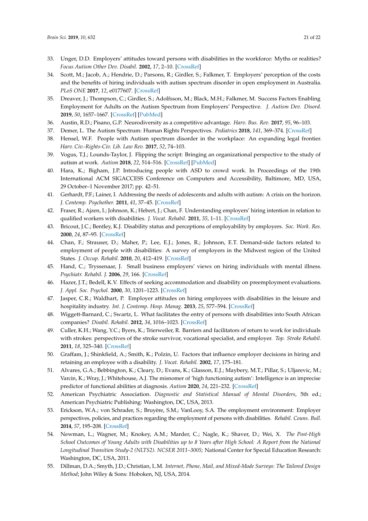- <span id="page-22-0"></span>33. Unger, D.D. Employers' attitudes toward persons with disabilities in the workforce: Myths or realities? *Focus Autism Other Dev. Disabil.* **2002**, *17*, 2–10. [\[CrossRef\]](http://dx.doi.org/10.1177/108835760201700101)
- <span id="page-22-1"></span>34. Scott, M.; Jacob, A.; Hendrie, D.; Parsons, R.; Girdler, S.; Falkmer, T. Employers' perception of the costs and the benefits of hiring individuals with autism spectrum disorder in open employment in Australia. *PLoS ONE* **2017**, *12*, e0177607. [\[CrossRef\]](http://dx.doi.org/10.1371/journal.pone.0177607)
- <span id="page-22-2"></span>35. Dreaver, J.; Thompson, C.; Girdler, S.; Adolfsson, M.; Black, M.H.; Falkmer, M. Success Factors Enabling Employment for Adults on the Autism Spectrum from Employers' Perspective. *J. Autism Dev. Disord.* **2019**, *50*, 1657–1667. [\[CrossRef\]](http://dx.doi.org/10.1007/s10803-019-03923-3) [\[PubMed\]](http://www.ncbi.nlm.nih.gov/pubmed/30771130)
- <span id="page-22-3"></span>36. Austin, R.D.; Pisano, G.P. Neurodiversity as a competitive advantage. *Harv. Bus. Rev.* **2017**, *95*, 96–103.
- <span id="page-22-4"></span>37. Demer, L. The Autism Spectrum: Human Rights Perspectives. *Pediatrics* **2018**, *141*, 369–374. [\[CrossRef\]](http://dx.doi.org/10.1542/peds.2016-4300O)
- <span id="page-22-5"></span>38. Hensel, W.F. People with Autism spectrum disorder in the workplace: An expanding legal frontier. *Harv. Civ.-Rights-Civ. Lib. Law Rev.* **2017**, *52*, 74–103.
- <span id="page-22-6"></span>39. Vogus, T.J.; Lounds-Taylor, J. Flipping the script: Bringing an organizational perspective to the study of autism at work. *Autism* **2018**, *22*, 514–516. [\[CrossRef\]](http://dx.doi.org/10.1177/1362361318776103) [\[PubMed\]](http://www.ncbi.nlm.nih.gov/pubmed/29807439)
- <span id="page-22-7"></span>40. Hara, K.; Bigham, J.P. Introducing people with ASD to crowd work. In Proceedings of the 19th International ACM SIGACCESS Conference on Computers and Accessibility, Baltimore, MD, USA, 29 October–1 November 2017; pp. 42–51.
- <span id="page-22-8"></span>41. Gerhardt, P.F.; Lainer, I. Addressing the needs of adolescents and adults with autism: A crisis on the horizon. *J. Contemp. Psychother.* **2011**, *41*, 37–45. [\[CrossRef\]](http://dx.doi.org/10.1007/s10879-010-9160-2)
- <span id="page-22-9"></span>42. Fraser, R.; Ajzen, I.; Johnson, K.; Hebert, J.; Chan, F. Understanding employers' hiring intention in relation to qualified workers with disabilities. *J. Vocat. Rehabil.* **2011**, *35*, 1–11. [\[CrossRef\]](http://dx.doi.org/10.3233/JVR-2011-0548)
- 43. Bricout, J.C.; Bentley, K.J. Disability status and perceptions of employability by employers. *Soc. Work. Res.* **2000**, *24*, 87–95. [\[CrossRef\]](http://dx.doi.org/10.1093/swr/24.2.87)
- 44. Chan, F.; Strauser, D.; Maher, P.; Lee, E.J.; Jones, R.; Johnson, E.T. Demand-side factors related to employment of people with disabilities: A survey of employers in the Midwest region of the United States. *J. Occup. Rehabil.* **2010**, *20*, 412–419. [\[CrossRef\]](http://dx.doi.org/10.1007/s10926-010-9252-6)
- 45. Hand, C.; Tryssenaar, J. Small business employers' views on hiring individuals with mental illness. *Psychiatr. Rehabil. J.* **2006**, *29*, 166. [\[CrossRef\]](http://dx.doi.org/10.2975/29.2006.166.173)
- 46. Hazer, J.T.; Bedell, K.V. Effects of seeking accommodation and disability on preemployment evaluations. *J. Appl. Soc. Psychol.* **2000**, *30*, 1201–1223. [\[CrossRef\]](http://dx.doi.org/10.1111/j.1559-1816.2000.tb02517.x)
- 47. Jasper, C.R.; Waldhart, P. Employer attitudes on hiring employees with disabilities in the leisure and hospitality industry. *Int. J. Contemp. Hosp. Manag.* **2013**, *25*, 577–594. [\[CrossRef\]](http://dx.doi.org/10.1108/09596111311322934)
- <span id="page-22-10"></span>48. Wiggett-Barnard, C.; Swartz, L. What facilitates the entry of persons with disabilities into South African companies? *Disabil. Rehabil.* **2012**, *34*, 1016–1023. [\[CrossRef\]](http://dx.doi.org/10.3109/09638288.2011.631679)
- 49. Culler, K.H.; Wang, Y.C.; Byers, K.; Trierweiler, R. Barriers and facilitators of return to work for individuals with strokes: perspectives of the stroke survivor, vocational specialist, and employer. *Top. Stroke Rehabil.* **2011**, *18*, 325–340. [\[CrossRef\]](http://dx.doi.org/10.1310/tsr1804-325)
- <span id="page-22-11"></span>50. Graffam, J.; Shinkfield, A.; Smith, K.; Polzin, U. Factors that influence employer decisions in hiring and retaining an employee with a disability. *J. Vocat. Rehabil.* **2002**, *17*, 175–181.
- <span id="page-22-12"></span>51. Alvares, G.A.; Bebbington, K.; Cleary, D.; Evans, K.; Glasson, E.J.; Maybery, M.T.; Pillar, S.; Uljarevic, M.; Varcin, K.; Wray, J.; Whitehouse, A.J. The misnomer of 'high functioning autism': Intelligence is an imprecise predictor of functional abilities at diagnosis. *Autism* **2020**, *24*, 221–232. [\[CrossRef\]](http://dx.doi.org/10.1177/1362361319852831)
- <span id="page-22-13"></span>52. American Psychiatric Association. *Diagnostic and Statistical Manual of Mental Disorders*, 5th ed.; American Psychiatric Publishing: Washington, DC, USA, 2013.
- <span id="page-22-14"></span>53. Erickson, W.A.; von Schrader, S.; Bruyère, S.M.; VanLooy, S.A. The employment environment: Employer perspectives, policies, and practices regarding the employment of persons with disabilities. *Rehabil. Couns. Bull.* **2014**, *57*, 195–208. [\[CrossRef\]](http://dx.doi.org/10.1177/0034355213509841)
- <span id="page-22-15"></span>54. Newman, L.; Wagner, M.; Knokey, A.M.; Marder, C.; Nagle, K.; Shaver, D.; Wei, X. *The Post-High School Outcomes of Young Adults with Disabilities up to 8 Years after High School: A Report from the National Longitudinal Transition Study-2 (NLTS2). NCSER 2011–3005*; National Center for Special Education Research: Washington, DC, USA, 2011.
- <span id="page-22-16"></span>55. Dillman, D.A.; Smyth, J.D.; Christian, L.M. *Internet, Phone, Mail, and Mixed-Mode Surveys: The Tailored Design Method*; John Wiley & Sons: Hoboken, NJ, USA, 2014.